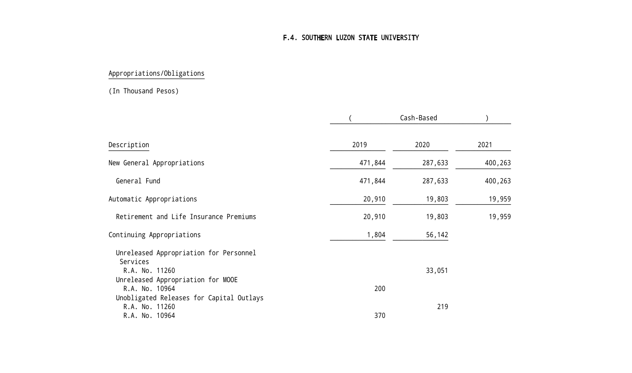## F.4. SOUTHERN LUZON STATE UNIVERSITY

# Appropriations/Obligations

#### (In Thousand Pesos)

|                                                    |         | Cash-Based |         |
|----------------------------------------------------|---------|------------|---------|
| Description                                        | 2019    | 2020       | 2021    |
| New General Appropriations                         | 471,844 | 287,633    | 400,263 |
| General Fund                                       | 471,844 | 287,633    | 400,263 |
| Automatic Appropriations                           | 20,910  | 19,803     | 19,959  |
| Retirement and Life Insurance Premiums             | 20,910  | 19,803     | 19,959  |
| Continuing Appropriations                          | 1,804   | 56,142     |         |
| Unreleased Appropriation for Personnel<br>Services |         |            |         |
| R.A. No. 11260                                     |         | 33,051     |         |
| Unreleased Appropriation for MOOE                  |         |            |         |
| R.A. No. 10964                                     | 200     |            |         |
| Unobligated Releases for Capital Outlays           |         |            |         |
| R.A. No. 11260                                     | 370     | 219        |         |
| R.A. No. 10964                                     |         |            |         |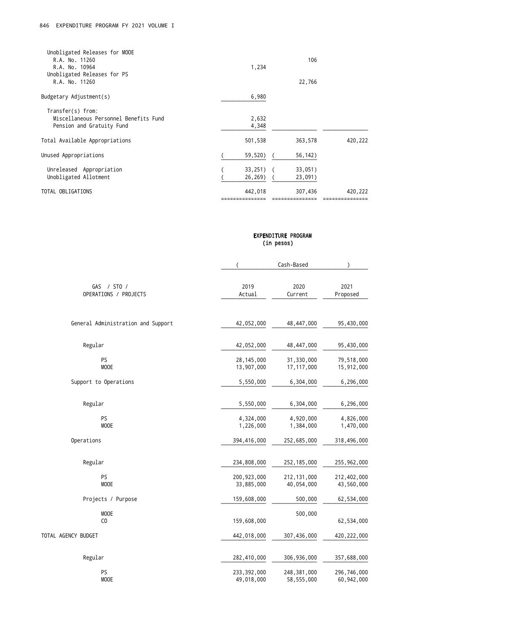| Unobligated Releases for MOOE<br>R.A. No. 11260<br>R.A. No. 10964<br>Unobligated Releases for PS<br>R.A. No. 11260        | 1,234                     | 106<br>22,766      |         |
|---------------------------------------------------------------------------------------------------------------------------|---------------------------|--------------------|---------|
| Budgetary Adjustment(s)                                                                                                   | 6,980                     |                    |         |
| Transfer(s) from:<br>Miscellaneous Personnel Benefits Fund<br>Pension and Gratuity Fund<br>Total Available Appropriations | 2,632<br>4,348<br>501,538 | 363,578            | 420,222 |
| Unused Appropriations                                                                                                     | 59,520)                   | 56,142)            |         |
| Unreleased Appropriation<br>Unobligated Allotment                                                                         | $33,251)$ (<br>26,269)    | 33,051)<br>23,091) |         |
| TOTAL OBLIGATIONS                                                                                                         | 442,018                   | 307,436            | 420,222 |

# EXPENDITURE PROGRAM (in pesos)

|                                      | $\overline{\phantom{a}}$    | Cash-Based                  | $\lambda$                   |
|--------------------------------------|-----------------------------|-----------------------------|-----------------------------|
| GAS / STO /<br>OPERATIONS / PROJECTS | 2019<br>Actual              | 2020<br>Current             | 2021<br>Proposed            |
| General Administration and Support   | 42,052,000                  | 48,447,000                  | 95,430,000                  |
| Regular                              | 42,052,000                  | 48,447,000                  | 95,430,000                  |
| PS<br><b>MOOE</b>                    | 28, 145, 000<br>13,907,000  | 31,330,000<br>17, 117, 000  | 79,518,000<br>15,912,000    |
| Support to Operations                | 5,550,000                   | 6,304,000                   | 6,296,000                   |
| Regular                              | 5,550,000                   | 6,304,000                   | 6,296,000                   |
| PS<br>MOOE                           | 4,324,000<br>1,226,000      | 4,920,000<br>1,384,000      | 4,826,000<br>1,470,000      |
| Operations                           | 394,416,000                 | 252,685,000                 | 318,496,000                 |
| Regular                              | 234,808,000                 | 252, 185, 000               | 255,962,000                 |
| PS<br>MOOE                           | 200, 923, 000<br>33,885,000 | 212, 131, 000<br>40,054,000 | 212,402,000<br>43,560,000   |
| Projects / Purpose                   | 159,608,000                 | 500,000                     | 62,534,000                  |
| <b>MOOE</b><br>CO                    | 159,608,000                 | 500,000                     | 62,534,000                  |
| TOTAL AGENCY BUDGET                  | 442,018,000                 | 307,436,000                 | 420, 222, 000               |
| Regular                              | 282,410,000                 | 306, 936, 000               | 357,688,000                 |
| PS<br><b>MOOE</b>                    | 233, 392, 000<br>49,018,000 | 248,381,000<br>58,555,000   | 296,746,000<br>60, 942, 000 |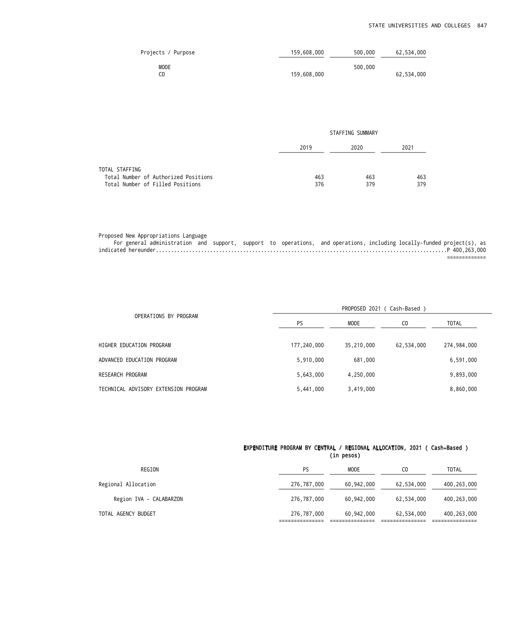| Projects / Purpose | 159,608,000 | 500,000 | 62,534,000 |
|--------------------|-------------|---------|------------|
| <b>MOOE</b>        |             | 500,000 |            |
|                    | 159,608,000 |         | 62,534,000 |

|                                      | STAFFING SUMMARY |      |      |  |
|--------------------------------------|------------------|------|------|--|
|                                      | 2019             | 2020 | 2021 |  |
| TOTAL STAFFING                       |                  |      |      |  |
| Total Number of Authorized Positions | 463              | 463  | 463  |  |
| Total Number of Filled Positions     | 376              | 379  | 379  |  |

|  | Proposed New Appropriations Language |  |  |                                                                                                                        |  |  |
|--|--------------------------------------|--|--|------------------------------------------------------------------------------------------------------------------------|--|--|
|  |                                      |  |  | For general administration and support, support to operations, and operations, including locally-funded project(s), as |  |  |
|  |                                      |  |  |                                                                                                                        |  |  |
|  |                                      |  |  |                                                                                                                        |  |  |

|                                      |             | PROPOSED 2021 ( Cash-Based ) |                |              |  |
|--------------------------------------|-------------|------------------------------|----------------|--------------|--|
| OPERATIONS BY PROGRAM                | <b>PS</b>   | <b>MOOE</b>                  | C <sub>0</sub> | <b>TOTAL</b> |  |
| HIGHER EDUCATION PROGRAM             | 177,240,000 | 35,210,000                   | 62,534,000     | 274,984,000  |  |
| ADVANCED EDUCATION PROGRAM           | 5,910,000   | 681,000                      |                | 6,591,000    |  |
| RESEARCH PROGRAM                     | 5,643,000   | 4,250,000                    |                | 9,893,000    |  |
| TECHNICAL ADVISORY EXTENSION PROGRAM | 5,441,000   | 3,419,000                    |                | 8,860,000    |  |

### EXPENDITURE PROGRAM BY CENTRAL / REGIONAL ALLOCATION, 2021 ( Cash-Based ) (in pesos)

| REGION                  | PS          | <b>MOOE</b> | CO.        | <b>TOTAL</b>  |
|-------------------------|-------------|-------------|------------|---------------|
| Regional Allocation     | 276,787,000 | 60,942,000  | 62,534,000 | 400, 263, 000 |
| Region IVA - CALABARZON | 276,787,000 | 60,942,000  | 62,534,000 | 400, 263, 000 |
| TOTAL AGENCY BUDGET     | 276,787,000 | 60,942,000  | 62,534,000 | 400, 263, 000 |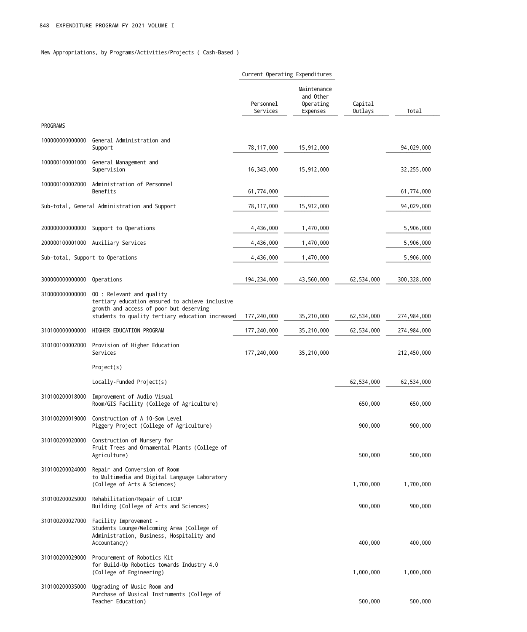New Appropriations, by Programs/Activities/Projects ( Cash-Based )

|                                  |                                                                                                                                                                             | Current Operating Expenditures |                                                   |                    |               |
|----------------------------------|-----------------------------------------------------------------------------------------------------------------------------------------------------------------------------|--------------------------------|---------------------------------------------------|--------------------|---------------|
|                                  |                                                                                                                                                                             | Personnel<br>Services          | Maintenance<br>and Other<br>Operating<br>Expenses | Capital<br>Outlays | Total         |
| PROGRAMS                         |                                                                                                                                                                             |                                |                                                   |                    |               |
| 10000000000000                   | General Administration and<br>Support                                                                                                                                       | 78,117,000                     | 15,912,000                                        |                    | 94,029,000    |
| 100000100001000                  | General Management and<br>Supervision                                                                                                                                       | 16,343,000                     | 15,912,000                                        |                    | 32,255,000    |
| 100000100002000                  | Administration of Personnel<br>Benefits                                                                                                                                     | 61,774,000                     |                                                   |                    | 61,774,000    |
|                                  | Sub-total, General Administration and Support                                                                                                                               | 78, 117, 000                   | 15,912,000                                        |                    | 94,029,000    |
| 20000000000000                   | Support to Operations                                                                                                                                                       | 4,436,000                      | 1,470,000                                         |                    | 5,906,000     |
| 200000100001000                  | Auxiliary Services                                                                                                                                                          | 4,436,000                      | 1,470,000                                         |                    | 5,906,000     |
| Sub-total, Support to Operations |                                                                                                                                                                             | 4,436,000                      | 1,470,000                                         |                    | 5,906,000     |
| 30000000000000                   | Operations                                                                                                                                                                  | 194, 234, 000                  | 43,560,000                                        | 62,534,000         | 300, 328, 000 |
| 31000000000000                   | 00 : Relevant and quality<br>tertiary education ensured to achieve inclusive<br>growth and access of poor but deserving<br>students to quality tertiary education increased | 177,240,000                    | 35,210,000                                        | 62,534,000         | 274,984,000   |
| 31010000000000                   | HIGHER EDUCATION PROGRAM                                                                                                                                                    | 177,240,000                    | 35,210,000                                        | 62,534,000         | 274,984,000   |
| 310100100002000                  | Provision of Higher Education<br>Services                                                                                                                                   | 177,240,000                    | 35,210,000                                        |                    | 212,450,000   |
|                                  | Project(s)                                                                                                                                                                  |                                |                                                   |                    |               |
|                                  | Locally-Funded Project(s)                                                                                                                                                   |                                |                                                   | 62,534,000         | 62,534,000    |
|                                  | 310100200018000 Improvement of Audio Visual<br>Room/GIS Facility (College of Agriculture)                                                                                   |                                |                                                   | 650,000            | 650,000       |
|                                  | 310100200019000 Construction of A 10-Sow Level<br>Piggery Project (College of Agriculture)                                                                                  |                                |                                                   | 900,000            | 900,000       |
| 310100200020000                  | Construction of Nursery for<br>Fruit Trees and Ornamental Plants (College of<br>Agriculture)                                                                                |                                |                                                   | 500,000            | 500,000       |
| 310100200024000                  | Repair and Conversion of Room<br>to Multimedia and Digital Language Laboratory<br>(College of Arts & Sciences)                                                              |                                |                                                   | 1,700,000          | 1,700,000     |
| 310100200025000                  | Rehabilitation/Repair of LICUP<br>Building (College of Arts and Sciences)                                                                                                   |                                |                                                   | 900,000            | 900,000       |
| 310100200027000                  | Facility Improvement -<br>Students Lounge/Welcoming Area (College of<br>Administration, Business, Hospitality and<br>Accountancy)                                           |                                |                                                   | 400,000            | 400,000       |
| 310100200029000                  | Procurement of Robotics Kit<br>for Build-Up Robotics towards Industry 4.0<br>(College of Engineering)                                                                       |                                |                                                   | 1,000,000          | 1,000,000     |
| 310100200035000                  | Upgrading of Music Room and<br>Purchase of Musical Instruments (College of<br>Teacher Education)                                                                            |                                |                                                   | 500,000            | 500,000       |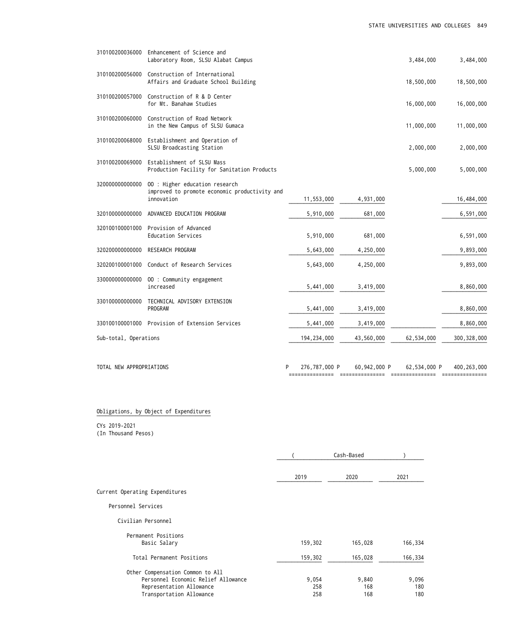| 310100200036000          | Enhancement of Science and<br>Laboratory Room, SLSU Alabat Campus         |                    |              | 3,484,000    | 3,484,000     |
|--------------------------|---------------------------------------------------------------------------|--------------------|--------------|--------------|---------------|
| 310100200056000          | Construction of International<br>Affairs and Graduate School Building     |                    |              | 18,500,000   | 18,500,000    |
| 310100200057000          | Construction of R & D Center<br>for Mt. Banahaw Studies                   |                    |              | 16,000,000   | 16,000,000    |
| 310100200060000          | Construction of Road Network<br>in the New Campus of SLSU Gumaca          |                    |              | 11,000,000   | 11,000,000    |
| 310100200068000          | Establishment and Operation of<br>SLSU Broadcasting Station               |                    |              | 2,000,000    | 2,000,000     |
| 310100200069000          | Establishment of SLSU Mass<br>Production Facility for Sanitation Products |                    |              | 5,000,000    | 5,000,000     |
| 32000000000000           | 00 : Higher education research                                            |                    |              |              |               |
|                          | improved to promote economic productivity and<br>innovation               | 11,553,000         | 4,931,000    |              | 16,484,000    |
| 32010000000000           | ADVANCED EDUCATION PROGRAM                                                | 5,910,000          | 681,000      |              | 6,591,000     |
| 320100100001000          | Provision of Advanced<br>Education Services                               | 5,910,000          | 681,000      |              | 6,591,000     |
| 32020000000000           | RESEARCH PROGRAM                                                          | 5,643,000          | 4,250,000    |              | 9,893,000     |
| 320200100001000          | Conduct of Research Services                                              | 5,643,000          | 4,250,000    |              | 9,893,000     |
| 33000000000000           | 00 : Community engagement<br>increased                                    | 5,441,000          | 3,419,000    |              | 8,860,000     |
| 330100000000000          | TECHNICAL ADVISORY EXTENSION<br>PROGRAM                                   | 5,441,000          | 3,419,000    |              | 8,860,000     |
|                          | 330100100001000 Provision of Extension Services                           | 5,441,000          | 3,419,000    |              | 8,860,000     |
| Sub-total, Operations    |                                                                           | 194, 234, 000      | 43,560,000   | 62,534,000   | 300, 328, 000 |
| TOTAL NEW APPROPRIATIONS |                                                                           | 276,787,000 P<br>P | 60,942,000 P | 62,534,000 P | 400, 263, 400 |

# Obligations, by Object of Expenditures

CYs 2019-2021 (In Thousand Pesos)

|                                                                                                                                 |                     | Cash-Based          |                     |  |
|---------------------------------------------------------------------------------------------------------------------------------|---------------------|---------------------|---------------------|--|
|                                                                                                                                 | 2019                | 2020                | 2021                |  |
| Current Operating Expenditures                                                                                                  |                     |                     |                     |  |
| Personnel Services                                                                                                              |                     |                     |                     |  |
| Civilian Personnel                                                                                                              |                     |                     |                     |  |
| Permanent Positions<br>Basic Salary                                                                                             | 159,302             | 165,028             | 166,334             |  |
| Total Permanent Positions                                                                                                       | 159,302             | 165,028             | 166,334             |  |
| Other Compensation Common to All<br>Personnel Economic Relief Allowance<br>Representation Allowance<br>Transportation Allowance | 9,054<br>258<br>258 | 9,840<br>168<br>168 | 9,096<br>180<br>180 |  |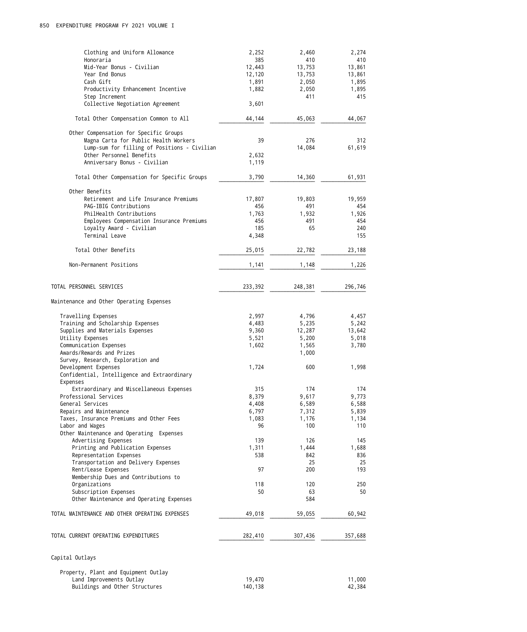| Clothing and Uniform Allowance                 | 2,252   | 2,460   | 2,274   |
|------------------------------------------------|---------|---------|---------|
| Honoraria                                      | 385     | 410     | 410     |
| Mid-Year Bonus - Civilian                      | 12,443  | 13,753  | 13,861  |
| Year End Bonus                                 | 12,120  | 13,753  | 13,861  |
| Cash Gift                                      | 1,891   | 2,050   | 1,895   |
| Productivity Enhancement Incentive             | 1,882   | 2,050   | 1,895   |
| Step Increment                                 |         | 411     | 415     |
| Collective Negotiation Agreement               | 3,601   |         |         |
|                                                |         |         |         |
| Total Other Compensation Common to All         | 44,144  | 45,063  | 44,067  |
| Other Compensation for Specific Groups         |         |         |         |
| Magna Carta for Public Health Workers          | 39      | 276     | 312     |
| Lump-sum for filling of Positions - Civilian   |         | 14,084  | 61,619  |
| Other Personnel Benefits                       | 2,632   |         |         |
| Anniversary Bonus - Civilian                   | 1,119   |         |         |
| Total Other Compensation for Specific Groups   | 3,790   | 14,360  | 61,931  |
| Other Benefits                                 |         |         |         |
| Retirement and Life Insurance Premiums         | 17,807  | 19,803  | 19,959  |
| PAG-IBIG Contributions                         | 456     | 491     | 454     |
| PhilHealth Contributions                       | 1,763   | 1,932   | 1,926   |
| Employees Compensation Insurance Premiums      | 456     | 491     | 454     |
| Loyalty Award - Civilian                       | 185     | 65      | 240     |
| Terminal Leave                                 | 4,348   |         | 155     |
|                                                |         |         |         |
| Total Other Benefits                           | 25,015  | 22,782  | 23,188  |
| Non-Permanent Positions                        | 1,141   | 1,148   | 1,226   |
| TOTAL PERSONNEL SERVICES                       | 233,392 | 248,381 | 296,746 |
|                                                |         |         |         |
| Maintenance and Other Operating Expenses       |         |         |         |
| Travelling Expenses                            | 2,997   | 4,796   | 4,457   |
| Training and Scholarship Expenses              | 4,483   | 5,235   | 5,242   |
| Supplies and Materials Expenses                | 9,360   | 12,287  | 13,642  |
| Utility Expenses                               | 5,521   | 5,200   | 5,018   |
| Communication Expenses                         | 1,602   | 1,565   | 3,780   |
| Awards/Rewards and Prizes                      |         | 1,000   |         |
| Survey, Research, Exploration and              |         |         |         |
| Development Expenses                           | 1,724   | 600     | 1,998   |
| Confidential, Intelligence and Extraordinary   |         |         |         |
| Expenses                                       |         |         |         |
| Extraordinary and Miscellaneous Expenses       | 315     | 174     | 174     |
| Professional Services                          | 8,379   | 9,617   | 9,773   |
| General Services                               | 4,408   | 6,589   | 6,588   |
| Repairs and Maintenance                        | 6,797   | 7,312   | 5,839   |
| Taxes, Insurance Premiums and Other Fees       | 1,083   | 1,176   | 1,134   |
| Labor and Wages                                | 96      | 100     | 110     |
| Other Maintenance and Operating Expenses       |         |         |         |
| Advertising Expenses                           | 139     | 126     | 145     |
| Printing and Publication Expenses              | 1,311   | 1,444   | 1,688   |
| Representation Expenses                        | 538     | 842     | 836     |
| Transportation and Delivery Expenses           |         | 25      | 25      |
| Rent/Lease Expenses                            | 97      | 200     | 193     |
| Membership Dues and Contributions to           |         |         |         |
| Organizations                                  | 118     | 120     | 250     |
| Subscription Expenses                          | 50      | 63      | 50      |
| Other Maintenance and Operating Expenses       |         | 584     |         |
| TOTAL MAINTENANCE AND OTHER OPERATING EXPENSES | 49,018  | 59,055  | 60,942  |
|                                                |         |         |         |
| TOTAL CURRENT OPERATING EXPENDITURES           | 282,410 | 307,436 | 357,688 |
| Capital Outlays                                |         |         |         |
| Property, Plant and Equipment Outlay           |         |         |         |
| Land Improvements Outlay                       | 19,470  |         | 11,000  |
| Buildings and Other Structures                 | 140,138 |         | 42,384  |
|                                                |         |         |         |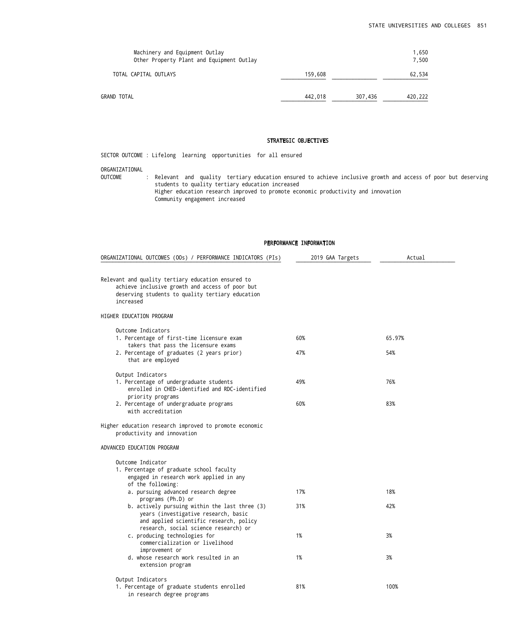| Machinery and Equipment Outlay<br>Other Property Plant and Equipment Outlay |         |         | 1,650<br>7.500 |
|-----------------------------------------------------------------------------|---------|---------|----------------|
| TOTAL CAPITAL OUTLAYS                                                       | 159,608 |         | 62,534         |
| GRAND TOTAL                                                                 | 442,018 | 307,436 | 420,222        |

## STRATEGIC OBJECTIVES

SECTOR OUTCOME : Lifelong learning opportunities for all ensured

#### ORGANIZATIONAL

OUTCOME : Relevant and quality tertiary education ensured to achieve inclusive growth and access of poor but deserving students to quality tertiary education increased Higher education research improved to promote economic productivity and innovation Community engagement increased

| ORGANIZATIONAL OUTCOMES (OOs) / PERFORMANCE INDICATORS (PIs)                                                                                                               | 2019 GAA Targets | Actual |
|----------------------------------------------------------------------------------------------------------------------------------------------------------------------------|------------------|--------|
|                                                                                                                                                                            |                  |        |
| Relevant and quality tertiary education ensured to<br>achieve inclusive growth and access of poor but<br>deserving students to quality tertiary education<br>increased     |                  |        |
| HIGHER EDUCATION PROGRAM                                                                                                                                                   |                  |        |
| Outcome Indicators                                                                                                                                                         |                  |        |
| 1. Percentage of first-time licensure exam<br>takers that pass the licensure exams                                                                                         | 60%              | 65.97% |
| 2. Percentage of graduates (2 years prior)<br>that are employed                                                                                                            | 47%              | 54%    |
| Output Indicators                                                                                                                                                          |                  |        |
| 1. Percentage of undergraduate students<br>enrolled in CHED-identified and RDC-identified<br>priority programs                                                             | 49%              | 76%    |
| 2. Percentage of undergraduate programs<br>with accreditation                                                                                                              | 60%              | 83%    |
| Higher education research improved to promote economic<br>productivity and innovation                                                                                      |                  |        |
| ADVANCED EDUCATION PROGRAM                                                                                                                                                 |                  |        |
| Outcome Indicator<br>1. Percentage of graduate school faculty<br>engaged in research work applied in any<br>of the following:                                              |                  |        |
| a. pursuing advanced research degree<br>programs (Ph.D) or                                                                                                                 | 17%              | 18%    |
| b. actively pursuing within the last three (3)<br>years (investigative research, basic<br>and applied scientific research, policy<br>research, social science research) or | 31%              | 42%    |
| c. producing technologies for<br>commercialization or livelihood<br>improvement or                                                                                         | 1%               | 3%     |
| d. whose research work resulted in an<br>extension program                                                                                                                 | 1%               | 3%     |
| Output Indicators                                                                                                                                                          |                  |        |
| 1. Percentage of graduate students enrolled<br>in research degree programs                                                                                                 | 81%              | 100%   |

### PERFORMANCE INFORMATION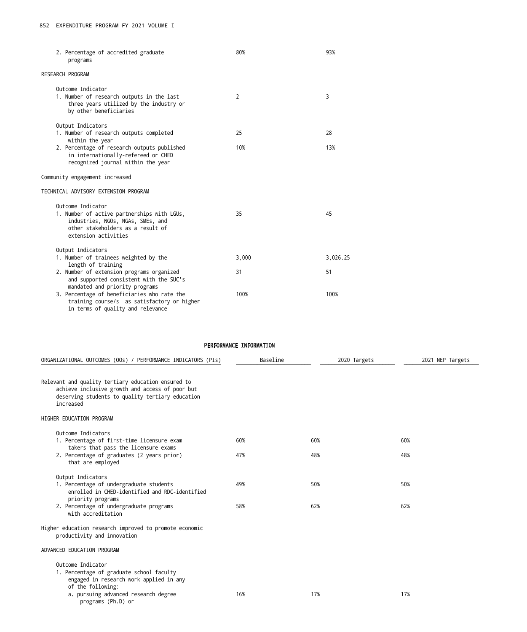| 2. Percentage of accredited graduate<br>programs                                                                                                                   | 80%   | 93%      |
|--------------------------------------------------------------------------------------------------------------------------------------------------------------------|-------|----------|
| RESEARCH PROGRAM                                                                                                                                                   |       |          |
| Outcome Indicator<br>1. Number of research outputs in the last<br>three years utilized by the industry or<br>by other beneficiaries                                | 2     | 3        |
| Output Indicators<br>1. Number of research outputs completed<br>within the year                                                                                    | 25    | 28       |
| 2. Percentage of research outputs published<br>in internationally-refereed or CHED<br>recognized journal within the year                                           | 10%   | 13%      |
| Community engagement increased                                                                                                                                     |       |          |
| TECHNICAL ADVISORY EXTENSION PROGRAM                                                                                                                               |       |          |
| Outcome Indicator<br>1. Number of active partnerships with LGUs,<br>industries, NGOs, NGAs, SMEs, and<br>other stakeholders as a result of<br>extension activities | 35    | 45       |
| Output Indicators<br>1. Number of trainees weighted by the<br>length of training                                                                                   | 3,000 | 3,026.25 |
| 2. Number of extension programs organized<br>and supported consistent with the SUC's<br>mandated and priority programs                                             | 31    | 51       |
| 3. Percentage of beneficiaries who rate the<br>training course/s as satisfactory or higher<br>in terms of quality and relevance                                    | 100%  | 100%     |

# PERFORMANCE INFORMATION

| Baseline   | 2020 Targets | 2021 NEP Targets |
|------------|--------------|------------------|
|            |              |                  |
|            |              |                  |
| 60%<br>47% | 60%<br>48%   | 60%<br>48%       |
| 49%        | 50%          | 50%              |
| 58%        | 62%          | 62%              |
|            |              |                  |
|            |              |                  |
| 16%        | 17%          | 17%              |
|            |              |                  |